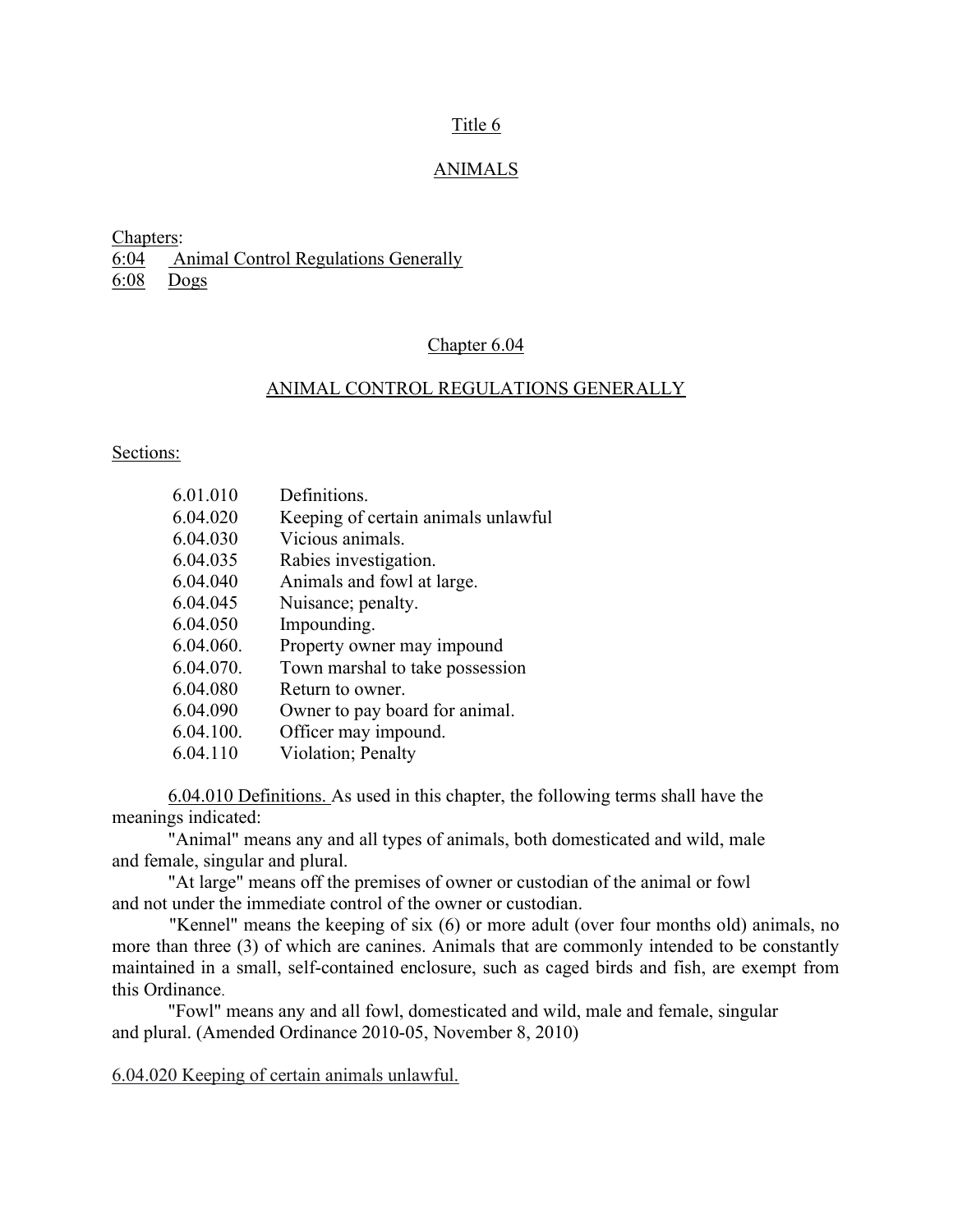## Title 6

## ANIMALS

Chapters:

6:04 Animal Control Regulations Generally

6:08 Dogs

## Chapter 6.04

## ANIMAL CONTROL REGULATIONS GENERALLY

Sections:

| 6.01.010  | Definitions.                        |
|-----------|-------------------------------------|
| 6.04.020  | Keeping of certain animals unlawful |
| 6.04.030  | Vicious animals.                    |
| 6.04.035  | Rabies investigation.               |
| 6.04.040  | Animals and fowl at large.          |
| 6.04.045  | Nuisance; penalty.                  |
| 6.04.050  | Impounding.                         |
| 6.04.060. | Property owner may impound          |
| 6.04.070. | Town marshal to take possession     |
| 6.04.080  | Return to owner.                    |
| 6.04.090  | Owner to pay board for animal.      |
| 6.04.100. | Officer may impound.                |
| 6.04.110  | Violation; Penalty                  |

 6.04.010 Definitions. As used in this chapter, the following terms shall have the meanings indicated:

 "Animal" means any and all types of animals, both domesticated and wild, male and female, singular and plural.

 "At large" means off the premises of owner or custodian of the animal or fowl and not under the immediate control of the owner or custodian.

"Kennel" means the keeping of six (6) or more adult (over four months old) animals, no more than three (3) of which are canines. Animals that are commonly intended to be constantly maintained in a small, self-contained enclosure, such as caged birds and fish, are exempt from this Ordinance.

 "Fowl" means any and all fowl, domesticated and wild, male and female, singular and plural. (Amended Ordinance 2010-05, November 8, 2010)

6.04.020 Keeping of certain animals unlawful.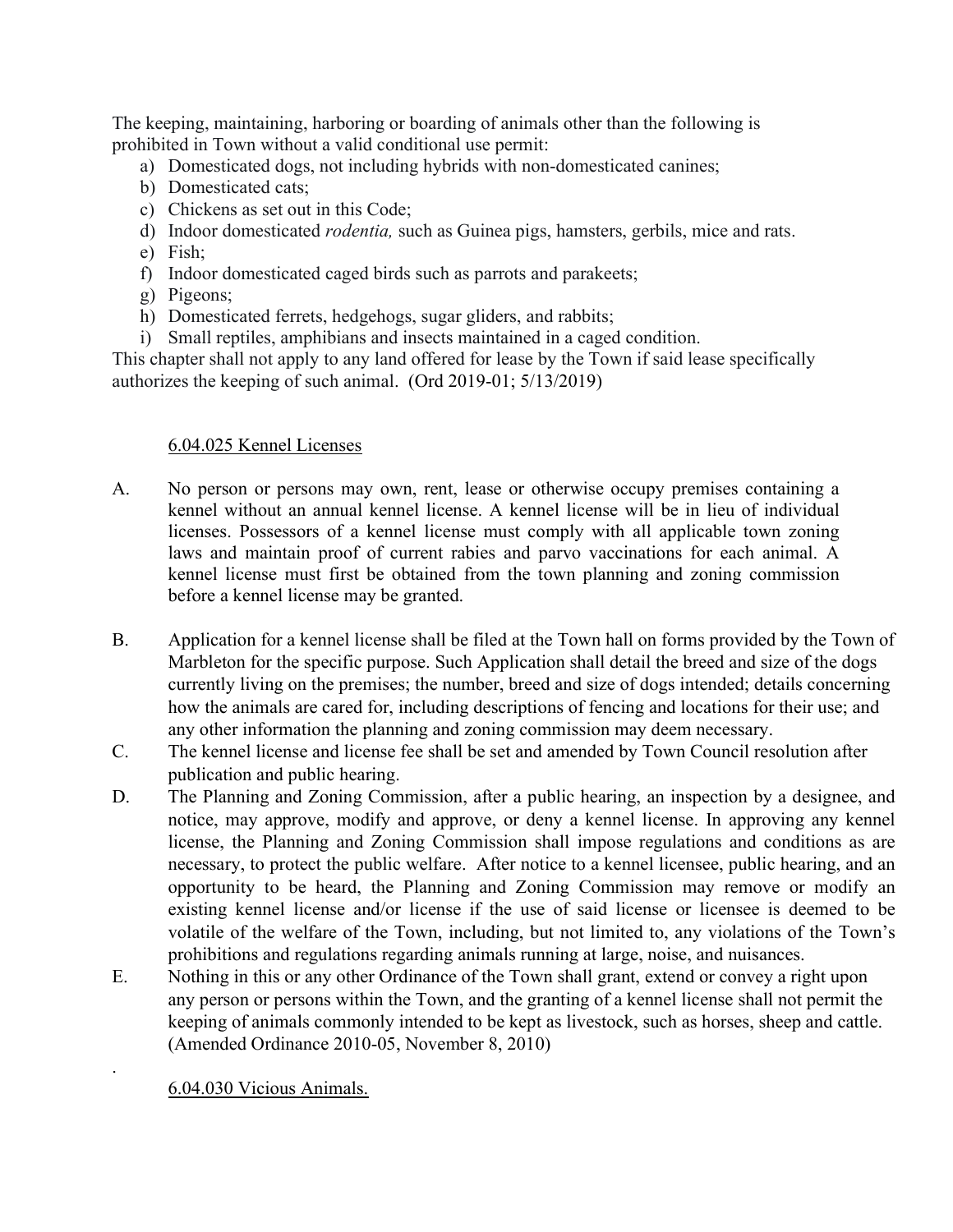The keeping, maintaining, harboring or boarding of animals other than the following is prohibited in Town without a valid conditional use permit:

- a) Domesticated dogs, not including hybrids with non-domesticated canines;
- b) Domesticated cats;
- c) Chickens as set out in this Code;
- d) Indoor domesticated *rodentia*, such as Guinea pigs, hamsters, gerbils, mice and rats.
- e) Fish;
- f) Indoor domesticated caged birds such as parrots and parakeets;
- g) Pigeons;
- h) Domesticated ferrets, hedgehogs, sugar gliders, and rabbits;
- i) Small reptiles, amphibians and insects maintained in a caged condition.

This chapter shall not apply to any land offered for lease by the Town if said lease specifically authorizes the keeping of such animal. (Ord 2019-01; 5/13/2019)

# 6.04.025 Kennel Licenses

- A. No person or persons may own, rent, lease or otherwise occupy premises containing a kennel without an annual kennel license. A kennel license will be in lieu of individual licenses. Possessors of a kennel license must comply with all applicable town zoning laws and maintain proof of current rabies and parvo vaccinations for each animal. A kennel license must first be obtained from the town planning and zoning commission before a kennel license may be granted.
- B. Application for a kennel license shall be filed at the Town hall on forms provided by the Town of Marbleton for the specific purpose. Such Application shall detail the breed and size of the dogs currently living on the premises; the number, breed and size of dogs intended; details concerning how the animals are cared for, including descriptions of fencing and locations for their use; and any other information the planning and zoning commission may deem necessary.
- C. The kennel license and license fee shall be set and amended by Town Council resolution after publication and public hearing.
- D. The Planning and Zoning Commission, after a public hearing, an inspection by a designee, and notice, may approve, modify and approve, or deny a kennel license. In approving any kennel license, the Planning and Zoning Commission shall impose regulations and conditions as are necessary, to protect the public welfare. After notice to a kennel licensee, public hearing, and an opportunity to be heard, the Planning and Zoning Commission may remove or modify an existing kennel license and/or license if the use of said license or licensee is deemed to be volatile of the welfare of the Town, including, but not limited to, any violations of the Town's prohibitions and regulations regarding animals running at large, noise, and nuisances.
- E. Nothing in this or any other Ordinance of the Town shall grant, extend or convey a right upon any person or persons within the Town, and the granting of a kennel license shall not permit the keeping of animals commonly intended to be kept as livestock, such as horses, sheep and cattle. (Amended Ordinance 2010-05, November 8, 2010)

6.04.030 Vicious Animals.

.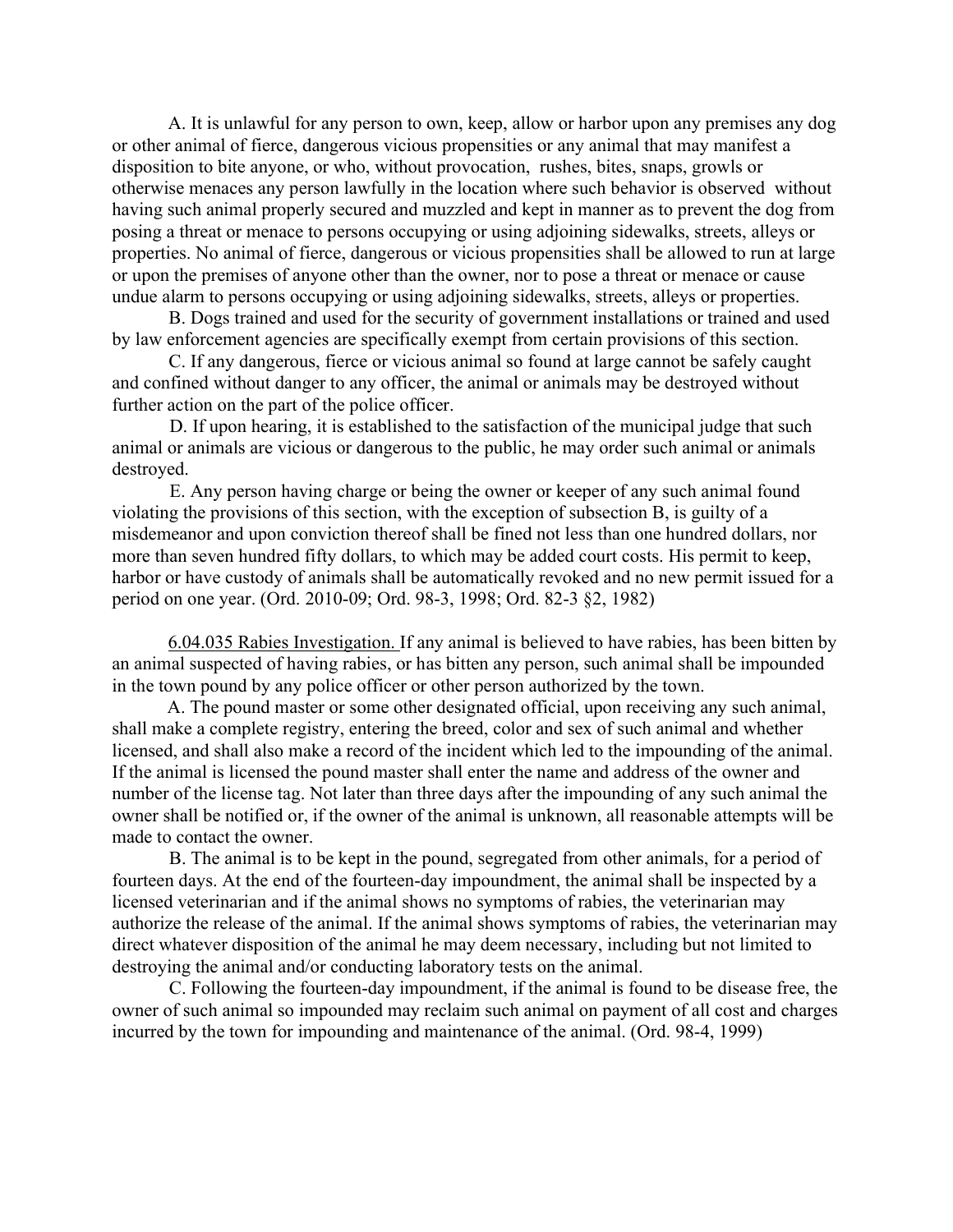A. It is unlawful for any person to own, keep, allow or harbor upon any premises any dog or other animal of fierce, dangerous vicious propensities or any animal that may manifest a disposition to bite anyone, or who, without provocation, rushes, bites, snaps, growls or otherwise menaces any person lawfully in the location where such behavior is observed without having such animal properly secured and muzzled and kept in manner as to prevent the dog from posing a threat or menace to persons occupying or using adjoining sidewalks, streets, alleys or properties. No animal of fierce, dangerous or vicious propensities shall be allowed to run at large or upon the premises of anyone other than the owner, nor to pose a threat or menace or cause undue alarm to persons occupying or using adjoining sidewalks, streets, alleys or properties.

B. Dogs trained and used for the security of government installations or trained and used by law enforcement agencies are specifically exempt from certain provisions of this section.

C. If any dangerous, fierce or vicious animal so found at large cannot be safely caught and confined without danger to any officer, the animal or animals may be destroyed without further action on the part of the police officer.

D. If upon hearing, it is established to the satisfaction of the municipal judge that such animal or animals are vicious or dangerous to the public, he may order such animal or animals destroyed.

E. Any person having charge or being the owner or keeper of any such animal found violating the provisions of this section, with the exception of subsection B, is guilty of a misdemeanor and upon conviction thereof shall be fined not less than one hundred dollars, nor more than seven hundred fifty dollars, to which may be added court costs. His permit to keep, harbor or have custody of animals shall be automatically revoked and no new permit issued for a period on one year. (Ord. 2010-09; Ord. 98-3, 1998; Ord. 82-3 §2, 1982)

6.04.035 Rabies Investigation. If any animal is believed to have rabies, has been bitten by an animal suspected of having rabies, or has bitten any person, such animal shall be impounded in the town pound by any police officer or other person authorized by the town.

A. The pound master or some other designated official, upon receiving any such animal, shall make a complete registry, entering the breed, color and sex of such animal and whether licensed, and shall also make a record of the incident which led to the impounding of the animal. If the animal is licensed the pound master shall enter the name and address of the owner and number of the license tag. Not later than three days after the impounding of any such animal the owner shall be notified or, if the owner of the animal is unknown, all reasonable attempts will be made to contact the owner.

B. The animal is to be kept in the pound, segregated from other animals, for a period of fourteen days. At the end of the fourteen-day impoundment, the animal shall be inspected by a licensed veterinarian and if the animal shows no symptoms of rabies, the veterinarian may authorize the release of the animal. If the animal shows symptoms of rabies, the veterinarian may direct whatever disposition of the animal he may deem necessary, including but not limited to destroying the animal and/or conducting laboratory tests on the animal.

C. Following the fourteen-day impoundment, if the animal is found to be disease free, the owner of such animal so impounded may reclaim such animal on payment of all cost and charges incurred by the town for impounding and maintenance of the animal. (Ord. 98-4, 1999)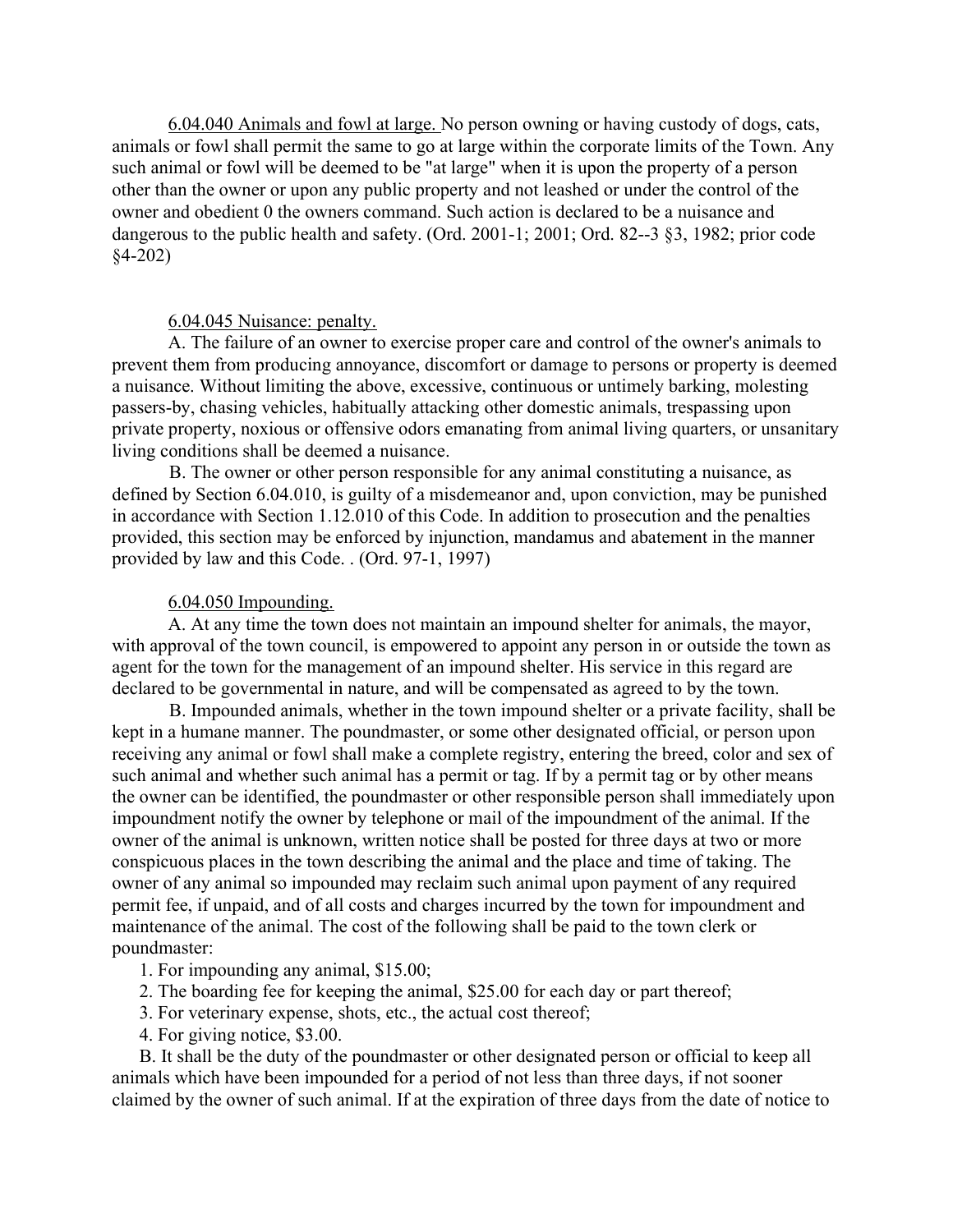6.04.040 Animals and fowl at large. No person owning or having custody of dogs, cats, animals or fowl shall permit the same to go at large within the corporate limits of the Town. Any such animal or fowl will be deemed to be "at large" when it is upon the property of a person other than the owner or upon any public property and not leashed or under the control of the owner and obedient 0 the owners command. Such action is declared to be a nuisance and dangerous to the public health and safety. (Ord. 2001-1; 2001; Ord. 82--3 §3, 1982; prior code §4-202)

### 6.04.045 Nuisance: penalty.

A. The failure of an owner to exercise proper care and control of the owner's animals to prevent them from producing annoyance, discomfort or damage to persons or property is deemed a nuisance. Without limiting the above, excessive, continuous or untimely barking, molesting passers-by, chasing vehicles, habitually attacking other domestic animals, trespassing upon private property, noxious or offensive odors emanating from animal living quarters, or unsanitary living conditions shall be deemed a nuisance.

B. The owner or other person responsible for any animal constituting a nuisance, as defined by Section 6.04.010, is guilty of a misdemeanor and, upon conviction, may be punished in accordance with Section 1.12.010 of this Code. In addition to prosecution and the penalties provided, this section may be enforced by injunction, mandamus and abatement in the manner provided by law and this Code. . (Ord. 97-1, 1997)

#### 6.04.050 Impounding.

A. At any time the town does not maintain an impound shelter for animals, the mayor, with approval of the town council, is empowered to appoint any person in or outside the town as agent for the town for the management of an impound shelter. His service in this regard are declared to be governmental in nature, and will be compensated as agreed to by the town.

B. Impounded animals, whether in the town impound shelter or a private facility, shall be kept in a humane manner. The poundmaster, or some other designated official, or person upon receiving any animal or fowl shall make a complete registry, entering the breed, color and sex of such animal and whether such animal has a permit or tag. If by a permit tag or by other means the owner can be identified, the poundmaster or other responsible person shall immediately upon impoundment notify the owner by telephone or mail of the impoundment of the animal. If the owner of the animal is unknown, written notice shall be posted for three days at two or more conspicuous places in the town describing the animal and the place and time of taking. The owner of any animal so impounded may reclaim such animal upon payment of any required permit fee, if unpaid, and of all costs and charges incurred by the town for impoundment and maintenance of the animal. The cost of the following shall be paid to the town clerk or poundmaster:

1. For impounding any animal, \$15.00;

- 2. The boarding fee for keeping the animal, \$25.00 for each day or part thereof;
- 3. For veterinary expense, shots, etc., the actual cost thereof;
- 4. For giving notice, \$3.00.

B. It shall be the duty of the poundmaster or other designated person or official to keep all animals which have been impounded for a period of not less than three days, if not sooner claimed by the owner of such animal. If at the expiration of three days from the date of notice to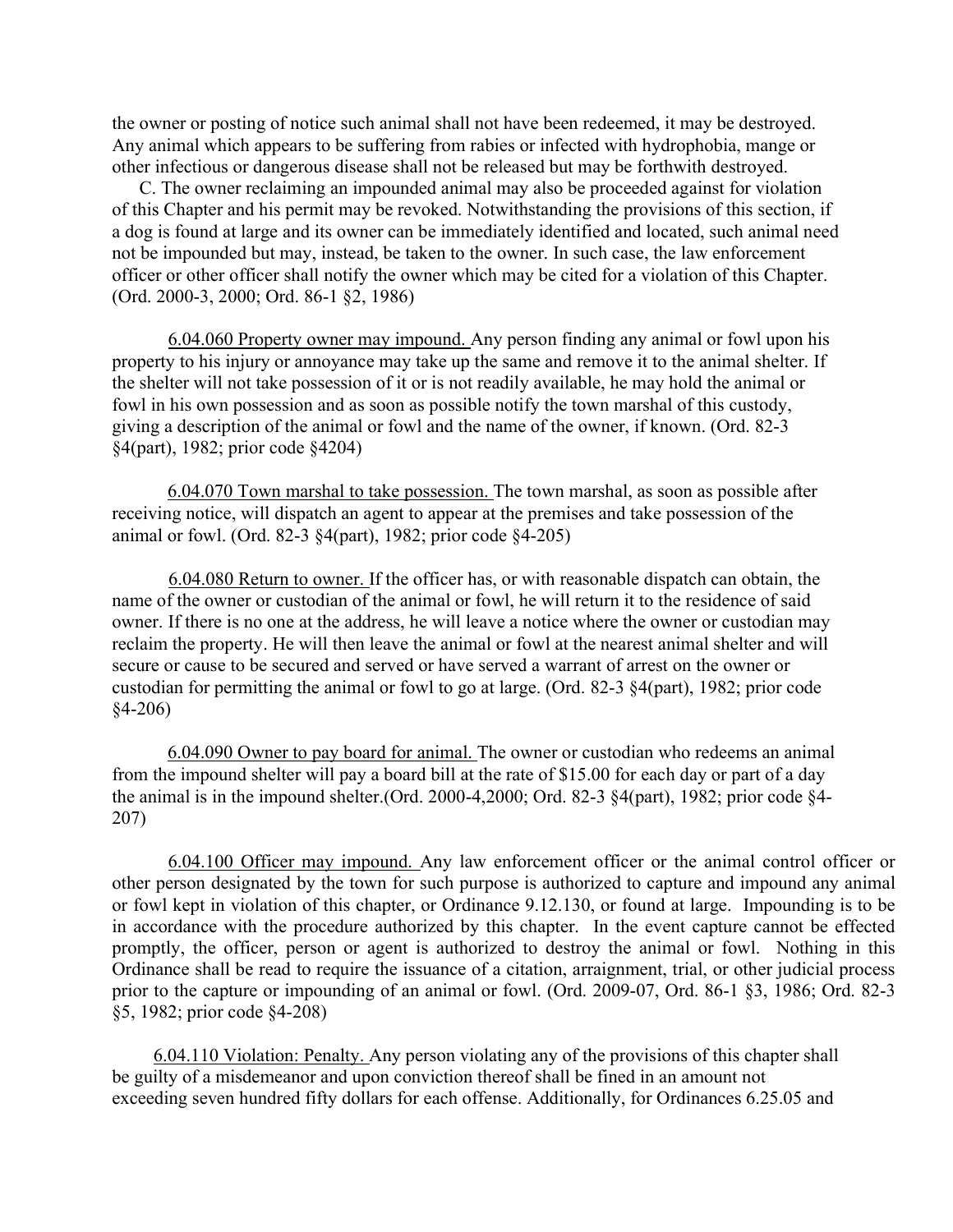the owner or posting of notice such animal shall not have been redeemed, it may be destroyed. Any animal which appears to be suffering from rabies or infected with hydrophobia, mange or other infectious or dangerous disease shall not be released but may be forthwith destroyed.

C. The owner reclaiming an impounded animal may also be proceeded against for violation of this Chapter and his permit may be revoked. Notwithstanding the provisions of this section, if a dog is found at large and its owner can be immediately identified and located, such animal need not be impounded but may, instead, be taken to the owner. In such case, the law enforcement officer or other officer shall notify the owner which may be cited for a violation of this Chapter. (Ord. 2000-3, 2000; Ord. 86-1 §2, 1986)

6.04.060 Property owner may impound. Any person finding any animal or fowl upon his property to his injury or annoyance may take up the same and remove it to the animal shelter. If the shelter will not take possession of it or is not readily available, he may hold the animal or fowl in his own possession and as soon as possible notify the town marshal of this custody, giving a description of the animal or fowl and the name of the owner, if known. (Ord. 82-3 §4(part), 1982; prior code §4204)

6.04.070 Town marshal to take possession. The town marshal, as soon as possible after receiving notice, will dispatch an agent to appear at the premises and take possession of the animal or fowl. (Ord. 82-3 §4(part), 1982; prior code §4-205)

6.04.080 Return to owner. If the officer has, or with reasonable dispatch can obtain, the name of the owner or custodian of the animal or fowl, he will return it to the residence of said owner. If there is no one at the address, he will leave a notice where the owner or custodian may reclaim the property. He will then leave the animal or fowl at the nearest animal shelter and will secure or cause to be secured and served or have served a warrant of arrest on the owner or custodian for permitting the animal or fowl to go at large. (Ord. 82-3 §4(part), 1982; prior code §4-206)

6.04.090 Owner to pay board for animal. The owner or custodian who redeems an animal from the impound shelter will pay a board bill at the rate of \$15.00 for each day or part of a day the animal is in the impound shelter.(Ord. 2000-4,2000; Ord. 82-3 §4(part), 1982; prior code §4- 207)

6.04.100 Officer may impound. Any law enforcement officer or the animal control officer or other person designated by the town for such purpose is authorized to capture and impound any animal or fowl kept in violation of this chapter, or Ordinance 9.12.130, or found at large. Impounding is to be in accordance with the procedure authorized by this chapter. In the event capture cannot be effected promptly, the officer, person or agent is authorized to destroy the animal or fowl. Nothing in this Ordinance shall be read to require the issuance of a citation, arraignment, trial, or other judicial process prior to the capture or impounding of an animal or fowl. (Ord. 2009-07, Ord. 86-1 §3, 1986; Ord. 82-3 §5, 1982; prior code §4-208)

6.04.110 Violation: Penalty. Any person violating any of the provisions of this chapter shall be guilty of a misdemeanor and upon conviction thereof shall be fined in an amount not exceeding seven hundred fifty dollars for each offense. Additionally, for Ordinances 6.25.05 and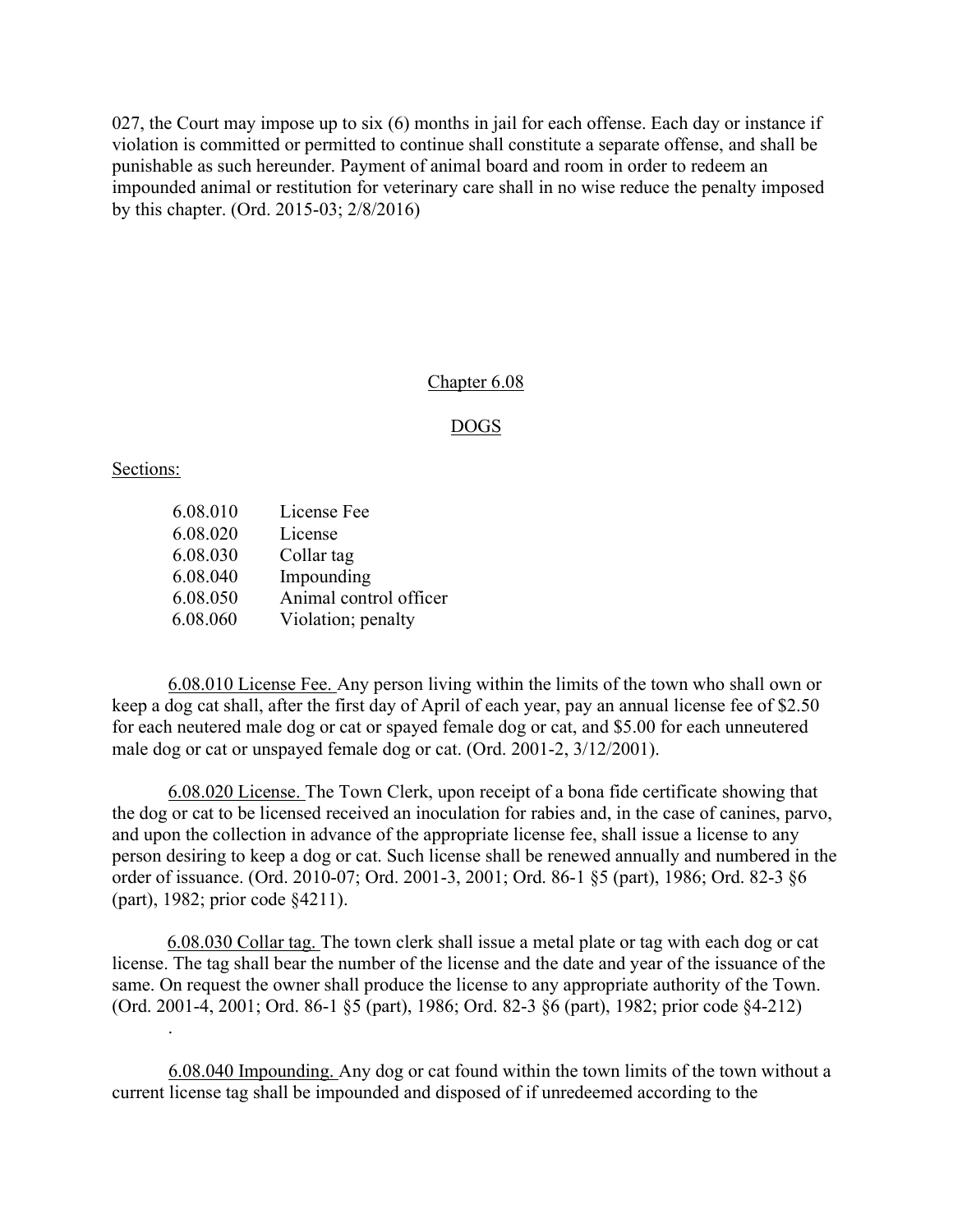027, the Court may impose up to six (6) months in jail for each offense. Each day or instance if violation is committed or permitted to continue shall constitute a separate offense, and shall be punishable as such hereunder. Payment of animal board and room in order to redeem an impounded animal or restitution for veterinary care shall in no wise reduce the penalty imposed by this chapter. (Ord. 2015-03; 2/8/2016)

#### Chapter 6.08

### DOGS

#### Sections:

.

| 6.08.010 | License Fee            |
|----------|------------------------|
| 6.08.020 | License                |
| 6.08.030 | Collar tag             |
| 6.08.040 | Impounding             |
| 6.08.050 | Animal control officer |
| 6.08.060 | Violation; penalty     |

6.08.010 License Fee. Any person living within the limits of the town who shall own or keep a dog cat shall, after the first day of April of each year, pay an annual license fee of \$2.50 for each neutered male dog or cat or spayed female dog or cat, and \$5.00 for each unneutered male dog or cat or unspayed female dog or cat. (Ord. 2001-2, 3/12/2001).

 6.08.020 License. The Town Clerk, upon receipt of a bona fide certificate showing that the dog or cat to be licensed received an inoculation for rabies and, in the case of canines, parvo, and upon the collection in advance of the appropriate license fee, shall issue a license to any person desiring to keep a dog or cat. Such license shall be renewed annually and numbered in the order of issuance. (Ord. 2010-07; Ord. 2001-3, 2001; Ord. 86-1 §5 (part), 1986; Ord. 82-3 §6 (part), 1982; prior code §4211).

6.08.030 Collar tag. The town clerk shall issue a metal plate or tag with each dog or cat license. The tag shall bear the number of the license and the date and year of the issuance of the same. On request the owner shall produce the license to any appropriate authority of the Town. (Ord. 2001-4, 2001; Ord. 86-1 §5 (part), 1986; Ord. 82-3 §6 (part), 1982; prior code §4-212)

6.08.040 Impounding. Any dog or cat found within the town limits of the town without a current license tag shall be impounded and disposed of if unredeemed according to the